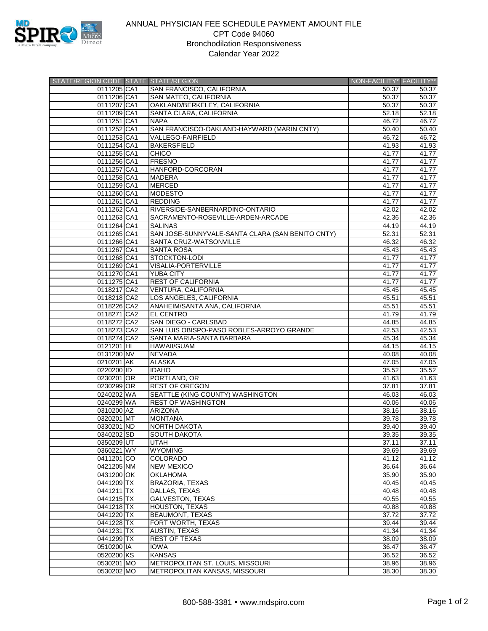

## ANNUAL PHYSICIAN FEE SCHEDULE PAYMENT AMOUNT FILE CPT Code 94060 Bronchodilation Responsiveness Calendar Year 2022

| STATE/REGION CODE STATE STATE/REGION |                                                  | NON-FACILITY* FACILITY** |                |
|--------------------------------------|--------------------------------------------------|--------------------------|----------------|
| 0111205 CA1                          | SAN FRANCISCO, CALIFORNIA                        | 50.37                    | 50.37          |
| 0111206 CA1                          | SAN MATEO, CALIFORNIA                            | 50.37                    | 50.37          |
| 0111207 CA1                          | OAKLAND/BERKELEY, CALIFORNIA                     | 50.37                    | 50.37          |
| 0111209 CA1                          | SANTA CLARA, CALIFORNIA                          | 52.18                    | 52.18          |
| 0111251 CA1                          | <b>NAPA</b>                                      | 46.72                    | 46.72          |
| 0111252 CA1                          | SAN FRANCISCO-OAKLAND-HAYWARD (MARIN CNTY)       | 50.40                    | 50.40          |
| 0111253 CA1                          | <b>VALLEGO-FAIRFIELD</b>                         | 46.72                    | 46.72          |
| 0111254 CA1                          | <b>BAKERSFIELD</b>                               | 41.93                    | 41.93          |
| 0111255 CA1                          | <b>CHICO</b>                                     | 41.77                    | 41.77          |
| 0111256 CA1                          | <b>FRESNO</b>                                    | 41.77                    | 41.77          |
| 0111257 CA1                          | HANFORD-CORCORAN                                 | 41.77                    | 41.77          |
| 0111258 CA1                          | <b>MADERA</b>                                    | 41.77                    | 41.77          |
| 0111259 CA1                          | <b>MERCED</b>                                    | 41.77                    | 41.77          |
| 0111260 CA1                          | <b>MODESTO</b>                                   | 41.77                    | 41.77          |
| 0111261 CA1                          | <b>REDDING</b>                                   | 41.77                    | 41.77          |
| 0111262 CA1                          | RIVERSIDE-SANBERNARDINO-ONTARIO                  | 42.02                    | 42.02          |
| 0111263 CA1                          | SACRAMENTO-ROSEVILLE-ARDEN-ARCADE                | 42.36                    | 42.36          |
| 0111264 CA1                          | <b>SALINAS</b>                                   | 44.19                    | 44.19          |
| 0111265 CA1                          | SAN JOSE-SUNNYVALE-SANTA CLARA (SAN BENITO CNTY) | 52.31                    | 52.31          |
| 0111266 CA1                          | SANTA CRUZ-WATSONVILLE                           | 46.32                    | 46.32          |
| 0111267 CA1                          | SANTA ROSA                                       | 45.43                    | 45.43          |
| 0111268 CA1                          | STOCKTON-LODI                                    | 41.77                    | 41.77          |
| 0111269 CA1                          | VISALIA-PORTERVILLE                              | 41.77                    | 41.77          |
| 0111270 CA1                          | <b>YUBA CITY</b>                                 | 41.77                    | 41.77          |
| 0111275 CA1                          | <b>REST OF CALIFORNIA</b>                        | 41.77                    | 41.77          |
| 0118217 CA2                          | VENTURA, CALIFORNIA                              | 45.45                    | 45.45          |
| 0118218 CA2                          | LOS ANGELES, CALIFORNIA                          | 45.51                    | 45.51          |
| 0118226 CA2                          | ANAHEIM/SANTA ANA, CALIFORNIA                    | 45.51                    | 45.51          |
| 0118271 CA2                          | <b>EL CENTRO</b>                                 | 41.79                    | 41.79          |
| 0118272 CA2                          | SAN DIEGO - CARLSBAD                             | 44.85                    | 44.85          |
| 0118273 CA2                          | SAN LUIS OBISPO-PASO ROBLES-ARROYO GRANDE        | 42.53                    | 42.53          |
| 0118274 CA2                          | SANTA MARIA-SANTA BARBARA                        | 45.34                    | 45.34          |
|                                      | <b>HAWAII/GUAM</b>                               |                          |                |
| 0121201 HI<br>0131200 NV             | <b>NEVADA</b>                                    | 44.15<br>40.08           | 44.15<br>40.08 |
| 0210201 AK                           | <b>ALASKA</b>                                    | 47.05                    | 47.05          |
|                                      | <b>IDAHO</b>                                     |                          |                |
| 0220200 ID                           | PORTLAND, OR                                     | 35.52<br>41.63           | 35.52<br>41.63 |
| 0230201 OR                           |                                                  |                          |                |
| 0230299 OR                           | <b>REST OF OREGON</b>                            | 37.81                    | 37.81          |
| 0240202 WA                           | SEATTLE (KING COUNTY) WASHINGTON                 | 46.03                    | 46.03          |
| 0240299 WA                           | <b>REST OF WASHINGTON</b>                        | 40.06                    | 40.06          |
| 0310200 AZ                           | <b>ARIZONA</b>                                   | 38.16                    | 38.16          |
| 0320201 MT                           | <b>MONTANA</b>                                   | 39.78                    | 39.78          |
| 0330201 ND                           | <b>NORTH DAKOTA</b>                              | 39.40                    | 39.40          |
| 0340202 SD                           | <b>SOUTH DAKOTA</b>                              | 39.35                    | 39.35          |
| 0350209 UT                           | UTAH                                             | 37.11                    | 37.11          |
| 0360221 WY                           | <b>WYOMING</b>                                   | 39.69                    | 39.69          |
| 0411201 CO                           | <b>COLORADO</b>                                  | 41.12                    | 41.12          |
| 0421205 NM                           | <b>NEW MEXICO</b>                                | 36.64                    | 36.64          |
| 0431200 OK                           | <b>OKLAHOMA</b>                                  | 35.90                    | 35.90          |
| 0441209 TX                           | BRAZORIA, TEXAS                                  | 40.45                    | 40.45          |
| 0441211 TX                           | DALLAS, TEXAS                                    | 40.48                    | 40.48          |
| 0441215 TX                           | <b>GALVESTON, TEXAS</b>                          | 40.55                    | 40.55          |
| 0441218 TX                           | HOUSTON, TEXAS                                   | 40.88                    | 40.88          |
| 0441220 TX                           | <b>BEAUMONT, TEXAS</b>                           | 37.72                    | 37.72          |
| 0441228 TX                           | FORT WORTH, TEXAS                                | 39.44                    | 39.44          |
| 0441231 TX                           | <b>AUSTIN, TEXAS</b>                             | 41.34                    | 41.34          |
| 0441299 TX                           | <b>REST OF TEXAS</b>                             | 38.09                    | 38.09          |
| 0510200 IA                           | <b>IOWA</b>                                      | 36.47                    | 36.47          |
| 0520200 KS                           | <b>KANSAS</b>                                    | 36.52                    | 36.52          |
| 0530201 MO                           | METROPOLITAN ST. LOUIS, MISSOURI                 | 38.96                    | 38.96          |
| 0530202 MO                           | METROPOLITAN KANSAS, MISSOURI                    | 38.30                    | 38.30          |
|                                      |                                                  |                          |                |